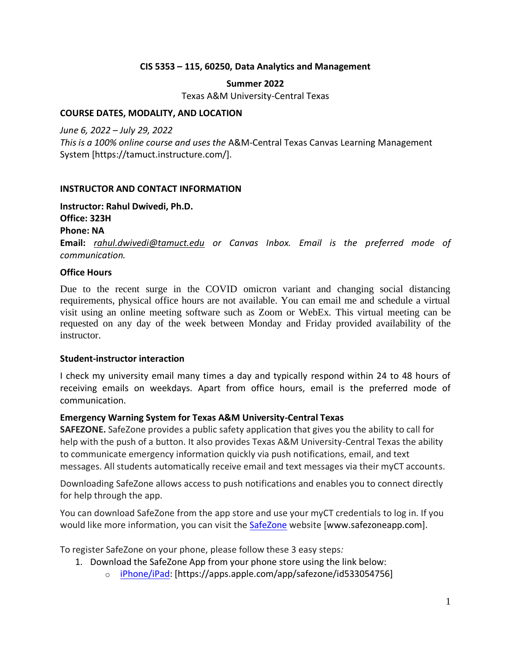#### **CIS 5353 – 115, 60250, Data Analytics and Management**

# **Summer 2022**

Texas A&M University-Central Texas

### **COURSE DATES, MODALITY, AND LOCATION**

*June 6, 2022 – July 29, 2022* 

*This is a 100% online course and uses the* A&M-Central Texas Canvas Learning Management System [https://tamuct.instructure.com/].

## **INSTRUCTOR AND CONTACT INFORMATION**

**Instructor: Rahul Dwivedi, Ph.D. Office: 323H**

**Phone: NA**

**Email:** *[rahul.dwivedi@tamuct.edu](mailto:rahul.dwivedi@tamuct.edu) or Canvas Inbox. Email is the preferred mode of communication.*

#### **Office Hours**

Due to the recent surge in the COVID omicron variant and changing social distancing requirements, physical office hours are not available. You can email me and schedule a virtual visit using an online meeting software such as Zoom or WebEx. This virtual meeting can be requested on any day of the week between Monday and Friday provided availability of the instructor.

#### **Student-instructor interaction**

I check my university email many times a day and typically respond within 24 to 48 hours of receiving emails on weekdays. Apart from office hours, email is the preferred mode of communication.

#### **Emergency Warning System for Texas A&M University-Central Texas**

**SAFEZONE.** SafeZone provides a public safety application that gives you the ability to call for help with the push of a button. It also provides Texas A&M University-Central Texas the ability to communicate emergency information quickly via push notifications, email, and text messages. All students automatically receive email and text messages via their myCT accounts.

Downloading SafeZone allows access to push notifications and enables you to connect directly for help through the app.

You can download SafeZone from the app store and use your myCT credentials to log in. If you would like more information, you can visit the [SafeZone](http://www.safezoneapp.com/) website [www.safezoneapp.com].

To register SafeZone on your phone, please follow these 3 easy steps*:*

- 1. Download the SafeZone App from your phone store using the link below:
	- o [iPhone/iPad:](https://apps.apple.com/app/safezone/id533054756) [https://apps.apple.com/app/safezone/id533054756]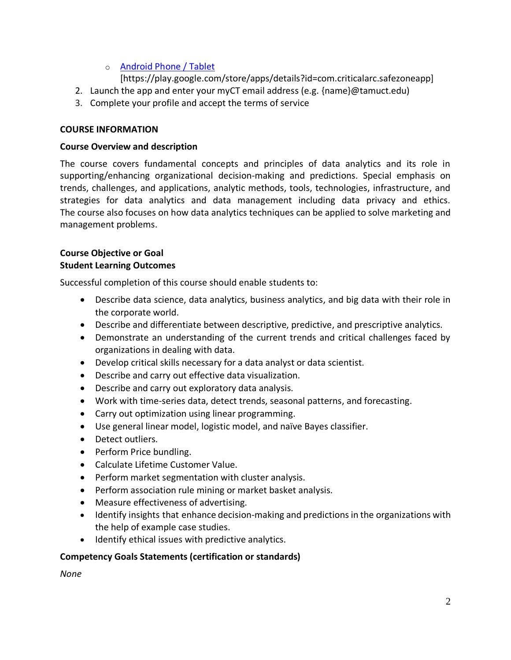# o [Android Phone / Tablet](https://play.google.com/store/apps/details?id=com.criticalarc.safezoneapp)

[https://play.google.com/store/apps/details?id=com.criticalarc.safezoneapp]

- 2. Launch the app and enter your myCT email address (e.g. {name}@tamuct.edu)
- 3. Complete your profile and accept the terms of service

## **COURSE INFORMATION**

## **Course Overview and description**

The course covers fundamental concepts and principles of data analytics and its role in supporting/enhancing organizational decision-making and predictions. Special emphasis on trends, challenges, and applications, analytic methods, tools, technologies, infrastructure, and strategies for data analytics and data management including data privacy and ethics. The course also focuses on how data analytics techniques can be applied to solve marketing and management problems.

## **Course Objective or Goal Student Learning Outcomes**

Successful completion of this course should enable students to:

- Describe data science, data analytics, business analytics, and big data with their role in the corporate world.
- Describe and differentiate between descriptive, predictive, and prescriptive analytics.
- Demonstrate an understanding of the current trends and critical challenges faced by organizations in dealing with data.
- Develop critical skills necessary for a data analyst or data scientist.
- Describe and carry out effective data visualization.
- Describe and carry out exploratory data analysis.
- Work with time-series data, detect trends, seasonal patterns, and forecasting.
- Carry out optimization using linear programming.
- Use general linear model, logistic model, and naïve Bayes classifier.
- Detect outliers.
- Perform Price bundling.
- Calculate Lifetime Customer Value.
- Perform market segmentation with cluster analysis.
- Perform association rule mining or market basket analysis.
- Measure effectiveness of advertising.
- Identify insights that enhance decision-making and predictions in the organizations with the help of example case studies.
- Identify ethical issues with predictive analytics.

# **Competency Goals Statements (certification or standards)**

*None*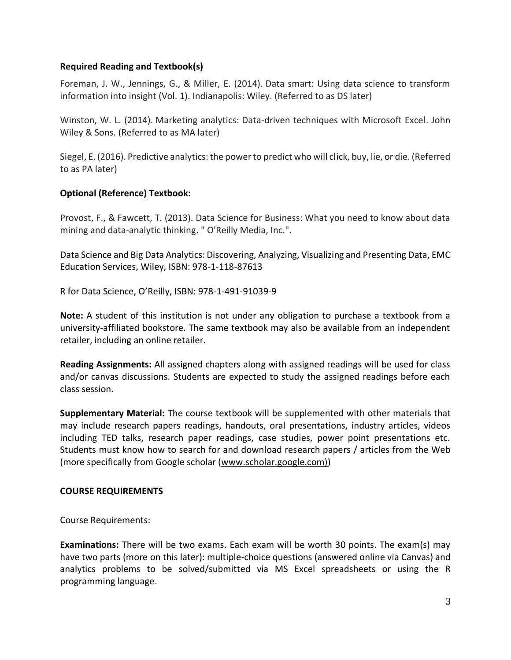## **Required Reading and Textbook(s)**

Foreman, J. W., Jennings, G., & Miller, E. (2014). Data smart: Using data science to transform information into insight (Vol. 1). Indianapolis: Wiley. (Referred to as DS later)

Winston, W. L. (2014). Marketing analytics: Data-driven techniques with Microsoft Excel. John Wiley & Sons. (Referred to as MA later)

Siegel, E. (2016). Predictive analytics: the power to predict who will click, buy, lie, or die. (Referred to as PA later)

#### **Optional (Reference) Textbook:**

Provost, F., & Fawcett, T. (2013). Data Science for Business: What you need to know about data mining and data-analytic thinking. " O'Reilly Media, Inc.".

Data Science and Big Data Analytics: Discovering, Analyzing, Visualizing and Presenting Data, EMC Education Services, Wiley, ISBN: 978-1-118-87613

R for Data Science, O'Reilly, ISBN: 978-1-491-91039-9

**Note:** A student of this institution is not under any obligation to purchase a textbook from a university-affiliated bookstore. The same textbook may also be available from an independent retailer, including an online retailer.

**Reading Assignments:** All assigned chapters along with assigned readings will be used for class and/or canvas discussions. Students are expected to study the assigned readings before each class session.

**Supplementary Material:** The course textbook will be supplemented with other materials that may include research papers readings, handouts, oral presentations, industry articles, videos including TED talks, research paper readings, case studies, power point presentations etc. Students must know how to search for and download research papers / articles from the Web (more specifically from Google scholar [\(www.scholar.google.com\)\)](http://www.scholar.google.com)/)

#### **COURSE REQUIREMENTS**

Course Requirements:

**Examinations:** There will be two exams. Each exam will be worth 30 points. The exam(s) may have two parts (more on this later): multiple-choice questions (answered online via Canvas) and analytics problems to be solved/submitted via MS Excel spreadsheets or using the R programming language.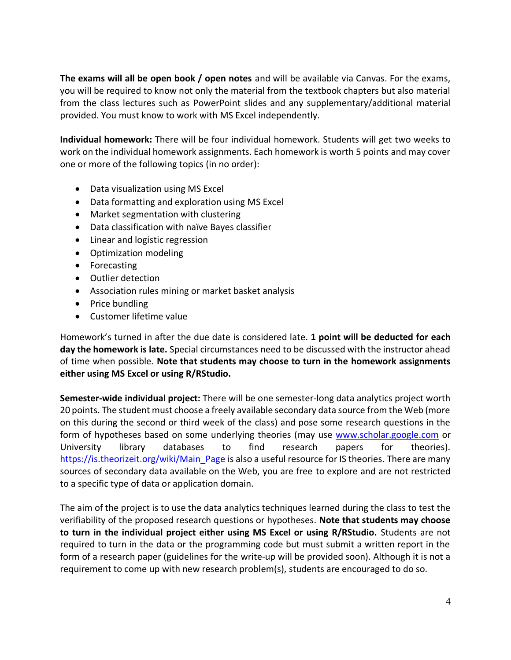**The exams will all be open book / open notes** and will be available via Canvas. For the exams, you will be required to know not only the material from the textbook chapters but also material from the class lectures such as PowerPoint slides and any supplementary/additional material provided. You must know to work with MS Excel independently.

**Individual homework:** There will be four individual homework. Students will get two weeks to work on the individual homework assignments. Each homework is worth 5 points and may cover one or more of the following topics (in no order):

- Data visualization using MS Excel
- Data formatting and exploration using MS Excel
- Market segmentation with clustering
- Data classification with naïve Bayes classifier
- Linear and logistic regression
- Optimization modeling
- Forecasting
- Outlier detection
- Association rules mining or market basket analysis
- Price bundling
- Customer lifetime value

Homework's turned in after the due date is considered late. **1 point will be deducted for each day the homework is late.** Special circumstances need to be discussed with the instructor ahead of time when possible. **Note that students may choose to turn in the homework assignments either using MS Excel or using R/RStudio.**

**Semester-wide individual project:** There will be one semester-long data analytics project worth 20 points. The student must choose a freely available secondary data source from the Web (more on this during the second or third week of the class) and pose some research questions in the form of hypotheses based on some underlying theories (may use [www.scholar.google.com](http://www.scholar.google.com/) or University library databases to find research papers for theories). https://is.theorizeit.org/wiki/Main Page is also a useful resource for IS theories. There are many sources of secondary data available on the Web, you are free to explore and are not restricted to a specific type of data or application domain.

The aim of the project is to use the data analytics techniques learned during the class to test the verifiability of the proposed research questions or hypotheses. **Note that students may choose to turn in the individual project either using MS Excel or using R/RStudio.** Students are not required to turn in the data or the programming code but must submit a written report in the form of a research paper (guidelines for the write-up will be provided soon). Although it is not a requirement to come up with new research problem(s), students are encouraged to do so.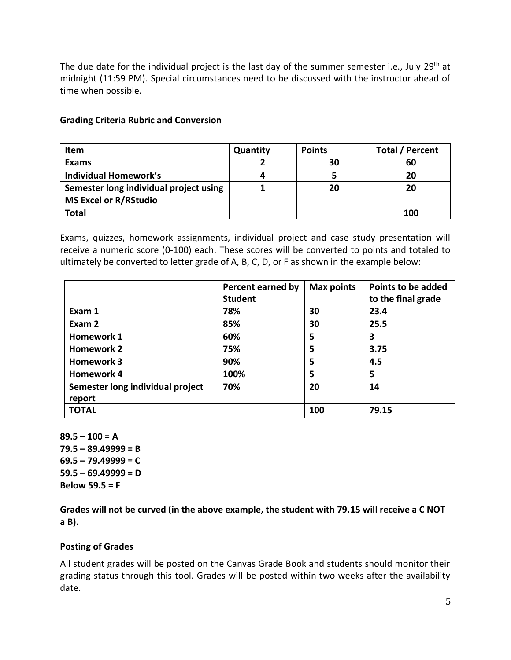The due date for the individual project is the last day of the summer semester i.e., July 29<sup>th</sup> at midnight (11:59 PM). Special circumstances need to be discussed with the instructor ahead of time when possible.

| <b>Item</b>                            | Quantity | <b>Points</b> | <b>Total / Percent</b> |
|----------------------------------------|----------|---------------|------------------------|
| Exams                                  |          | 30            | 60                     |
| <b>Individual Homework's</b>           | Δ        |               | 20                     |
| Semester long individual project using |          | 20            | 20                     |
| <b>MS Excel or R/RStudio</b>           |          |               |                        |
| Total                                  |          |               | 100                    |

# **Grading Criteria Rubric and Conversion**

Exams, quizzes, homework assignments, individual project and case study presentation will receive a numeric score (0-100) each. These scores will be converted to points and totaled to ultimately be converted to letter grade of A, B, C, D, or F as shown in the example below:

|                                            | Percent earned by<br><b>Student</b> | <b>Max points</b> | <b>Points to be added</b><br>to the final grade |
|--------------------------------------------|-------------------------------------|-------------------|-------------------------------------------------|
| Exam 1                                     | 78%                                 | 30                | 23.4                                            |
| Exam 2                                     | 85%                                 | 30                | 25.5                                            |
| <b>Homework 1</b>                          | 60%                                 | 5                 | 3                                               |
| <b>Homework 2</b>                          | 75%                                 | 5                 | 3.75                                            |
| <b>Homework 3</b>                          | 90%                                 | 5                 | 4.5                                             |
| <b>Homework 4</b>                          | 100%                                | 5                 | 5                                               |
| Semester long individual project<br>report | 70%                                 | 20                | 14                                              |
| <b>TOTAL</b>                               |                                     | 100               | 79.15                                           |

**89.5 – 100 = A 79.5 – 89.49999 = B 69.5 – 79.49999 = C**   $59.5 - 69.49999 = D$ **Below 59.5 = F** 

**Grades will not be curved (in the above example, the student with 79.15 will receive a C NOT a B).**

#### **Posting of Grades**

All student grades will be posted on the Canvas Grade Book and students should monitor their grading status through this tool. Grades will be posted within two weeks after the availability date.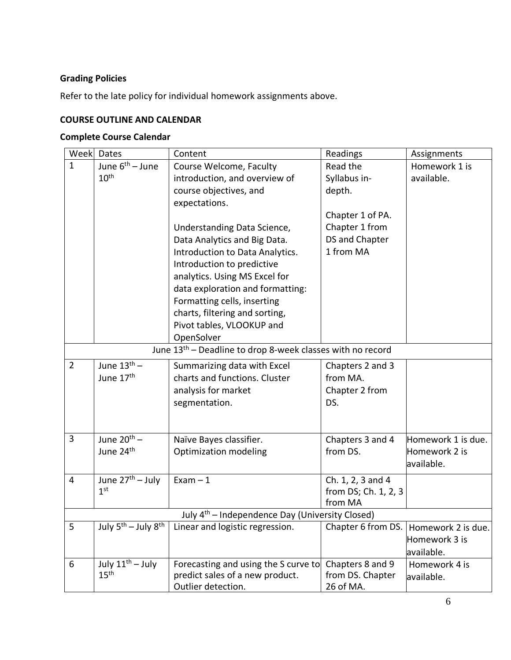# **Grading Policies**

Refer to the late policy for individual homework assignments above.

# **COURSE OUTLINE AND CALENDAR**

# **Complete Course Calendar**

| Week           | Dates                                                                  | Content                                                     | Readings             | Assignments        |  |
|----------------|------------------------------------------------------------------------|-------------------------------------------------------------|----------------------|--------------------|--|
| $\mathbf{1}$   | June 6 <sup>th</sup> – June                                            | Course Welcome, Faculty                                     | Read the             | Homework 1 is      |  |
|                | 10 <sup>th</sup>                                                       | introduction, and overview of                               | Syllabus in-         | available.         |  |
|                |                                                                        | course objectives, and                                      | depth.               |                    |  |
|                |                                                                        | expectations.                                               |                      |                    |  |
|                |                                                                        |                                                             | Chapter 1 of PA.     |                    |  |
|                |                                                                        | Understanding Data Science,                                 | Chapter 1 from       |                    |  |
|                |                                                                        | Data Analytics and Big Data.                                | DS and Chapter       |                    |  |
|                |                                                                        | Introduction to Data Analytics.                             | 1 from MA            |                    |  |
|                |                                                                        | Introduction to predictive                                  |                      |                    |  |
|                |                                                                        | analytics. Using MS Excel for                               |                      |                    |  |
|                |                                                                        | data exploration and formatting:                            |                      |                    |  |
|                |                                                                        | Formatting cells, inserting                                 |                      |                    |  |
|                |                                                                        | charts, filtering and sorting,                              |                      |                    |  |
|                |                                                                        | Pivot tables, VLOOKUP and                                   |                      |                    |  |
|                |                                                                        | OpenSolver                                                  |                      |                    |  |
|                | June 13 <sup>th</sup> – Deadline to drop 8-week classes with no record |                                                             |                      |                    |  |
| $\overline{2}$ | June $13th$ –                                                          | Summarizing data with Excel                                 | Chapters 2 and 3     |                    |  |
|                | June 17 <sup>th</sup>                                                  | charts and functions. Cluster                               | from MA.             |                    |  |
|                |                                                                        | analysis for market                                         | Chapter 2 from       |                    |  |
|                |                                                                        | segmentation.                                               | DS.                  |                    |  |
|                |                                                                        |                                                             |                      |                    |  |
|                |                                                                        |                                                             |                      |                    |  |
| 3              | June $20^{th}$ –                                                       | Naïve Bayes classifier.                                     | Chapters 3 and 4     | Homework 1 is due. |  |
|                | June 24 <sup>th</sup>                                                  | <b>Optimization modeling</b>                                | from DS.             | Homework 2 is      |  |
|                |                                                                        |                                                             |                      | available.         |  |
| $\overline{4}$ | June $27th - July$                                                     | $Exam - 1$                                                  | Ch. 1, 2, 3 and 4    |                    |  |
|                | 1 <sup>st</sup>                                                        |                                                             | from DS; Ch. 1, 2, 3 |                    |  |
|                |                                                                        |                                                             | from MA              |                    |  |
|                |                                                                        | July 4 <sup>th</sup> – Independence Day (University Closed) |                      |                    |  |
| 5              | July 5 <sup>th</sup> - July 8 <sup>th</sup>                            | Linear and logistic regression.                             | Chapter 6 from DS.   | Homework 2 is due. |  |
|                |                                                                        |                                                             |                      | Homework 3 is      |  |
|                |                                                                        |                                                             |                      | available.         |  |
| 6              | July $11^{th}$ – July                                                  | Forecasting and using the S curve to                        | Chapters 8 and 9     | Homework 4 is      |  |
|                | 15 <sup>th</sup>                                                       | predict sales of a new product.                             | from DS. Chapter     | available.         |  |
|                |                                                                        | Outlier detection.                                          | 26 of MA.            |                    |  |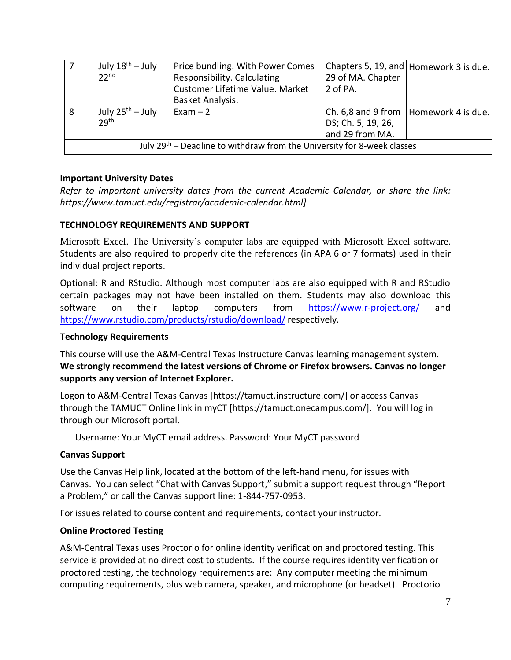|                                                                           | July $18^{\text{th}}$ – July<br>22 <sup>nd</sup> | Price bundling. With Power Comes<br>Responsibility. Calculating<br>Customer Lifetime Value. Market | 29 of MA. Chapter<br>2 of PA. | Chapters 5, 19, and Homework 3 is due. |
|---------------------------------------------------------------------------|--------------------------------------------------|----------------------------------------------------------------------------------------------------|-------------------------------|----------------------------------------|
|                                                                           |                                                  | Basket Analysis.                                                                                   |                               |                                        |
| 8                                                                         | July $25^{\text{th}}$ – July                     | $Exam - 2$                                                                                         | Ch. $6,8$ and $9$ from        | Homework 4 is due.                     |
|                                                                           | 29 <sup>th</sup>                                 |                                                                                                    | DS; Ch. 5, 19, 26,            |                                        |
|                                                                           |                                                  |                                                                                                    | and 29 from MA.               |                                        |
| July $29th$ – Deadline to withdraw from the University for 8-week classes |                                                  |                                                                                                    |                               |                                        |

## **Important University Dates**

*Refer to important university dates from the current Academic Calendar, or share the link: https://www.tamuct.edu/registrar/academic-calendar.html]*

## **TECHNOLOGY REQUIREMENTS AND SUPPORT**

Microsoft Excel. The University's computer labs are equipped with Microsoft Excel software. Students are also required to properly cite the references (in APA 6 or 7 formats) used in their individual project reports.

Optional: R and RStudio. Although most computer labs are also equipped with R and RStudio certain packages may not have been installed on them. Students may also download this software on their laptop computers from <https://www.r-project.org/> and <https://www.rstudio.com/products/rstudio/download/> respectively.

#### **Technology Requirements**

This course will use the A&M-Central Texas Instructure Canvas learning management system. **We strongly recommend the latest versions of Chrome or Firefox browsers. Canvas no longer supports any version of Internet Explorer.**

Logon to A&M-Central Texas Canvas [https://tamuct.instructure.com/] or access Canvas through the TAMUCT Online link in myCT [https://tamuct.onecampus.com/]. You will log in through our Microsoft portal.

Username: Your MyCT email address. Password: Your MyCT password

# **Canvas Support**

Use the Canvas Help link, located at the bottom of the left-hand menu, for issues with Canvas. You can select "Chat with Canvas Support," submit a support request through "Report a Problem," or call the Canvas support line: 1-844-757-0953.

For issues related to course content and requirements, contact your instructor.

# **Online Proctored Testing**

A&M-Central Texas uses Proctorio for online identity verification and proctored testing. This service is provided at no direct cost to students. If the course requires identity verification or proctored testing, the technology requirements are: Any computer meeting the minimum computing requirements, plus web camera, speaker, and microphone (or headset). Proctorio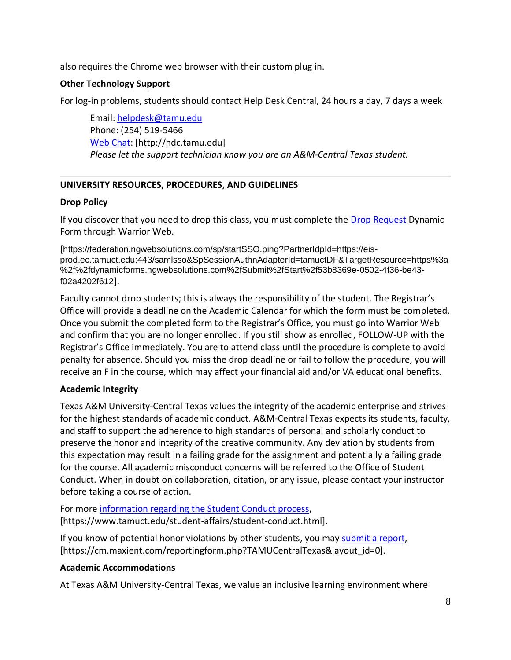also requires the Chrome web browser with their custom plug in.

## **Other Technology Support**

For log-in problems, students should contact Help Desk Central, 24 hours a day, 7 days a week

Email[: helpdesk@tamu.edu](mailto:helpdesk@tamu.edu) Phone: (254) 519-5466 [Web Chat:](http://hdc.tamu.edu/) [http://hdc.tamu.edu] *Please let the support technician know you are an A&M-Central Texas student.*

## **UNIVERSITY RESOURCES, PROCEDURES, AND GUIDELINES**

## **Drop Policy**

If you discover that you need to drop this class, you must complete the [Drop Request](https://federation.ngwebsolutions.com/sp/startSSO.ping?PartnerIdpId=https://eis-prod.ec.tamuct.edu:443/samlsso&SpSessionAuthnAdapterId=tamuctDF&TargetResource=https%3a%2f%2fdynamicforms.ngwebsolutions.com%2fSubmit%2fStart%2f53b8369e-0502-4f36-be43-f02a4202f612) Dynamic Form through Warrior Web.

[https://federation.ngwebsolutions.com/sp/startSSO.ping?PartnerIdpId=https://eisprod.ec.tamuct.edu:443/samlsso&SpSessionAuthnAdapterId=tamuctDF&TargetResource=https%3a %2f%2fdynamicforms.ngwebsolutions.com%2fSubmit%2fStart%2f53b8369e-0502-4f36-be43 f02a4202f612].

Faculty cannot drop students; this is always the responsibility of the student. The Registrar's Office will provide a deadline on the Academic Calendar for which the form must be completed. Once you submit the completed form to the Registrar's Office, you must go into Warrior Web and confirm that you are no longer enrolled. If you still show as enrolled, FOLLOW-UP with the Registrar's Office immediately. You are to attend class until the procedure is complete to avoid penalty for absence. Should you miss the drop deadline or fail to follow the procedure, you will receive an F in the course, which may affect your financial aid and/or VA educational benefits.

# **Academic Integrity**

Texas A&M University-Central Texas values the integrity of the academic enterprise and strives for the highest standards of academic conduct. A&M-Central Texas expects its students, faculty, and staff to support the adherence to high standards of personal and scholarly conduct to preserve the honor and integrity of the creative community. Any deviation by students from this expectation may result in a failing grade for the assignment and potentially a failing grade for the course. All academic misconduct concerns will be referred to the Office of Student Conduct. When in doubt on collaboration, citation, or any issue, please contact your instructor before taking a course of action.

For more [information](https://nam04.safelinks.protection.outlook.com/?url=https%3A%2F%2Fwww.tamuct.edu%2Fstudent-affairs%2Fstudent-conduct.html&data=04%7C01%7Clisa.bunkowski%40tamuct.edu%7Ccfb6e486f24745f53e1a08d910055cb2%7C9eed4e3000f744849ff193ad8005acec%7C0%7C0%7C637558437485252160%7CUnknown%7CTWFpbGZsb3d8eyJWIjoiMC4wLjAwMDAiLCJQIjoiV2luMzIiLCJBTiI6Ik1haWwiLCJXVCI6Mn0%3D%7C1000&sdata=yjftDEVHvLX%2FhM%2FcFU0B99krV1RgEWR%2BJ%2BhvtoR6TYk%3D&reserved=0) regarding the Student Conduct process, [https://www.tamuct.edu/student-affairs/student-conduct.html].

If you know of potential honor violations by other students, you may [submit](https://nam04.safelinks.protection.outlook.com/?url=https%3A%2F%2Fcm.maxient.com%2Freportingform.php%3FTAMUCentralTexas%26layout_id%3D0&data=04%7C01%7Clisa.bunkowski%40tamuct.edu%7Ccfb6e486f24745f53e1a08d910055cb2%7C9eed4e3000f744849ff193ad8005acec%7C0%7C0%7C637558437485262157%7CUnknown%7CTWFpbGZsb3d8eyJWIjoiMC4wLjAwMDAiLCJQIjoiV2luMzIiLCJBTiI6Ik1haWwiLCJXVCI6Mn0%3D%7C1000&sdata=CXGkOa6uPDPX1IMZ87z3aZDq2n91xfHKu4MMS43Ejjk%3D&reserved=0) a report, [https://cm.maxient.com/reportingform.php?TAMUCentralTexas&layout\_id=0].

# **Academic Accommodations**

At Texas A&M University-Central Texas, we value an inclusive learning environment where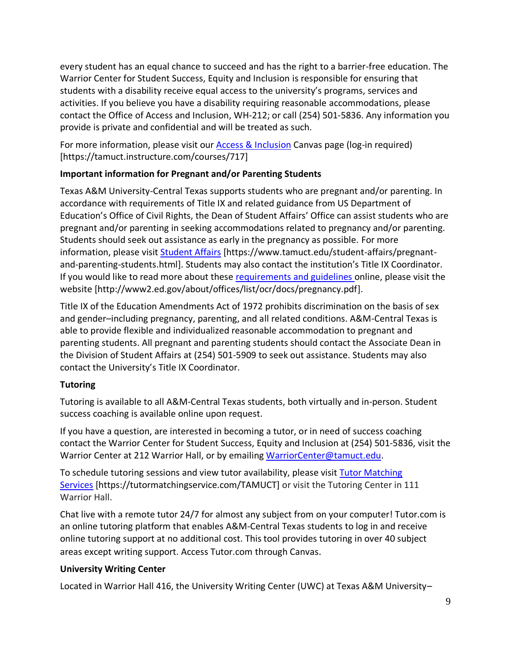every student has an equal chance to succeed and has the right to a barrier-free education. The Warrior Center for Student Success, Equity and Inclusion is responsible for ensuring that students with a disability receive equal access to the university's programs, services and activities. If you believe you have a disability requiring reasonable accommodations, please contact the Office of Access and Inclusion, WH-212; or call (254) 501-5836. Any information you provide is private and confidential and will be treated as such.

For more information, please visit our [Access & Inclusion](https://tamuct.instructure.com/courses/717) Canvas page (log-in required) [https://tamuct.instructure.com/courses/717]

# **Important information for Pregnant and/or Parenting Students**

Texas A&M University-Central Texas supports students who are pregnant and/or parenting. In accordance with requirements of Title IX and related guidance from US Department of Education's Office of Civil Rights, the Dean of Student Affairs' Office can assist students who are pregnant and/or parenting in seeking accommodations related to pregnancy and/or parenting. Students should seek out assistance as early in the pregnancy as possible. For more information, please visit [Student Affairs](https://www.tamuct.edu/student-affairs/pregnant-and-parenting-students.html) [https://www.tamuct.edu/student-affairs/pregnantand-parenting-students.html]. Students may also contact the institution's Title IX Coordinator. If you would like to read more about these [requirements and guidelines](http://www2.ed.gov/about/offices/list/ocr/docs/pregnancy.pdf) online, please visit the website [http://www2.ed.gov/about/offices/list/ocr/docs/pregnancy.pdf].

Title IX of the Education Amendments Act of 1972 prohibits discrimination on the basis of sex and gender–including pregnancy, parenting, and all related conditions. A&M-Central Texas is able to provide flexible and individualized reasonable accommodation to pregnant and parenting students. All pregnant and parenting students should contact the Associate Dean in the Division of Student Affairs at (254) 501-5909 to seek out assistance. Students may also contact the University's Title IX Coordinator.

# **Tutoring**

Tutoring is available to all A&M-Central Texas students, both virtually and in-person. Student success coaching is available online upon request.

If you have a question, are interested in becoming a tutor, or in need of success coaching contact the Warrior Center for Student Success, Equity and Inclusion at (254) 501-5836, visit the Warrior Center at 212 Warrior Hall, or by emailing [WarriorCenter@tamuct.edu.](mailto:WarriorCenter@tamuct.edu)

To schedule tutoring sessions and view tutor availability, please visit Tutor [Matching](https://tutormatchingservice.com/TAMUCT) [Services](https://tutormatchingservice.com/TAMUCT) [https://tutormatchingservice.com/TAMUCT] or visit the Tutoring Center in 111 Warrior Hall.

Chat live with a remote tutor 24/7 for almost any subject from on your computer! Tutor.com is an online tutoring platform that enables A&M-Central Texas students to log in and receive online tutoring support at no additional cost. This tool provides tutoring in over 40 subject areas except writing support. Access Tutor.com through Canvas.

# **University Writing Center**

Located in Warrior Hall 416, the University Writing Center (UWC) at Texas A&M University–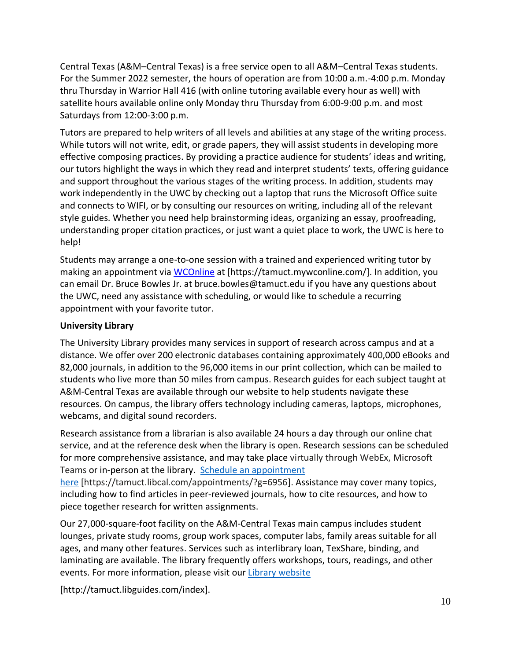Central Texas (A&M–Central Texas) is a free service open to all A&M–Central Texas students. For the Summer 2022 semester, the hours of operation are from 10:00 a.m.-4:00 p.m. Monday thru Thursday in Warrior Hall 416 (with online tutoring available every hour as well) with satellite hours available online only Monday thru Thursday from 6:00-9:00 p.m. and most Saturdays from 12:00-3:00 p.m.

Tutors are prepared to help writers of all levels and abilities at any stage of the writing process. While tutors will not write, edit, or grade papers, they will assist students in developing more effective composing practices. By providing a practice audience for students' ideas and writing, our tutors highlight the ways in which they read and interpret students' texts, offering guidance and support throughout the various stages of the writing process. In addition, students may work independently in the UWC by checking out a laptop that runs the Microsoft Office suite and connects to WIFI, or by consulting our resources on writing, including all of the relevant style guides. Whether you need help brainstorming ideas, organizing an essay, proofreading, understanding proper citation practices, or just want a quiet place to work, the UWC is here to help!

Students may arrange a one-to-one session with a trained and experienced writing tutor by making an appointment via [WCOnline](https://tamuct.mywconline.com/) at [https://tamuct.mywconline.com/]. In addition, you can email Dr. Bruce Bowles Jr. at bruce.bowles@tamuct.edu if you have any questions about the UWC, need any assistance with scheduling, or would like to schedule a recurring appointment with your favorite tutor.

# **University Library**

The University Library provides many services in support of research across campus and at a distance. We offer over 200 electronic databases containing approximately 400,000 eBooks and 82,000 journals, in addition to the 96,000 items in our print collection, which can be mailed to students who live more than 50 miles from campus. Research guides for each subject taught at A&M-Central Texas are available through our website to help students navigate these resources. On campus, the library offers technology including cameras, laptops, microphones, webcams, and digital sound recorders.

Research assistance from a librarian is also available 24 hours a day through our online chat service, and at the reference desk when the library is open. Research sessions can be scheduled for more comprehensive assistance, and may take place virtually through WebEx, Microsoft Teams or in-person at the library. Schedule an [appointment](https://nam04.safelinks.protection.outlook.com/?url=https%3A%2F%2Ftamuct.libcal.com%2Fappointments%2F%3Fg%3D6956&data=04%7C01%7Clisa.bunkowski%40tamuct.edu%7Cde2c07d9f5804f09518008d9ab7ba6ff%7C9eed4e3000f744849ff193ad8005acec%7C0%7C0%7C637729369835011558%7CUnknown%7CTWFpbGZsb3d8eyJWIjoiMC4wLjAwMDAiLCJQIjoiV2luMzIiLCJBTiI6Ik1haWwiLCJXVCI6Mn0%3D%7C3000&sdata=KhtjgRSAw9aq%2FoBsB6wyu8b7PSuGN5EGPypzr3Ty2No%3D&reserved=0) [here](https://nam04.safelinks.protection.outlook.com/?url=https%3A%2F%2Ftamuct.libcal.com%2Fappointments%2F%3Fg%3D6956&data=04%7C01%7Clisa.bunkowski%40tamuct.edu%7Cde2c07d9f5804f09518008d9ab7ba6ff%7C9eed4e3000f744849ff193ad8005acec%7C0%7C0%7C637729369835011558%7CUnknown%7CTWFpbGZsb3d8eyJWIjoiMC4wLjAwMDAiLCJQIjoiV2luMzIiLCJBTiI6Ik1haWwiLCJXVCI6Mn0%3D%7C3000&sdata=KhtjgRSAw9aq%2FoBsB6wyu8b7PSuGN5EGPypzr3Ty2No%3D&reserved=0) [https://tamuct.libcal.com/appointments/?g=6956]. Assistance may cover many topics,

including how to find articles in peer-reviewed journals, how to cite resources, and how to piece together research for written assignments.

Our 27,000-square-foot facility on the A&M-Central Texas main campus includes student lounges, private study rooms, group work spaces, computer labs, family areas suitable for all ages, and many other features. Services such as interlibrary loan, TexShare, binding, and laminating are available. The library frequently offers workshops, tours, readings, and other events. For more information, please visit our Library [website](https://nam04.safelinks.protection.outlook.com/?url=https%3A%2F%2Ftamuct.libguides.com%2Findex&data=04%7C01%7Clisa.bunkowski%40tamuct.edu%7C7d8489e8839a4915335f08d916f067f2%7C9eed4e3000f744849ff193ad8005acec%7C0%7C0%7C637566044056484222%7CUnknown%7CTWFpbGZsb3d8eyJWIjoiMC4wLjAwMDAiLCJQIjoiV2luMzIiLCJBTiI6Ik1haWwiLCJXVCI6Mn0%3D%7C1000&sdata=2R755V6rcIyedGrd4Os5rkgn1PvhHKU3kUV1vBKiHFo%3D&reserved=0)

[http://tamuct.libguides.com/index].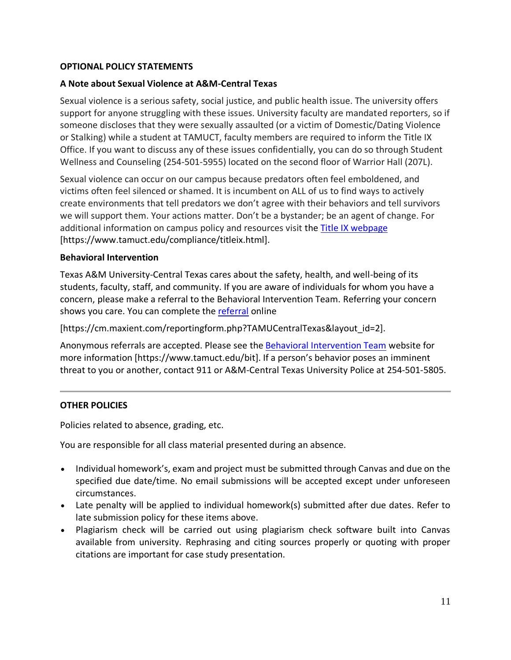## **OPTIONAL POLICY STATEMENTS**

#### **A Note about Sexual Violence at A&M-Central Texas**

Sexual violence is a serious safety, social justice, and public health issue. The university offers support for anyone struggling with these issues. University faculty are mandated reporters, so if someone discloses that they were sexually assaulted (or a victim of Domestic/Dating Violence or Stalking) while a student at TAMUCT, faculty members are required to inform the Title IX Office. If you want to discuss any of these issues confidentially, you can do so through Student Wellness and Counseling (254-501-5955) located on the second floor of Warrior Hall (207L).

Sexual violence can occur on our campus because predators often feel emboldened, and victims often feel silenced or shamed. It is incumbent on ALL of us to find ways to actively create environments that tell predators we don't agree with their behaviors and tell survivors we will support them. Your actions matter. Don't be a bystander; be an agent of change. For additional information on campus policy and resources visit the [Title IX webpage](https://www.tamuct.edu/compliance/titleix.html) [\[https://www.tamuct.edu/compliance/titleix.html\]](https://www.tamuct.edu/compliance/titleix.html).

#### **Behavioral Intervention**

Texas A&M University-Central Texas cares about the safety, health, and well-being of its students, faculty, staff, and community. If you are aware of individuals for whom you have a concern, please make a referral to the Behavioral Intervention Team. Referring your concern shows you care. You can complete the [referral](https://cm.maxient.com/reportingform.php?TAMUCentralTexas&layout_id=2) online

[https://cm.maxient.com/reportingform.php?TAMUCentralTexas&layout\_id=2].

Anonymous referrals are accepted. Please see the [Behavioral Intervention Team](https://www.tamuct.edu/bit) website for more information [https://www.tamuct.edu/bit]. If a person's behavior poses an imminent threat to you or another, contact 911 or A&M-Central Texas University Police at 254-501-5805.

#### **OTHER POLICIES**

Policies related to absence, grading, etc.

You are responsible for all class material presented during an absence.

- Individual homework's, exam and project must be submitted through Canvas and due on the specified due date/time. No email submissions will be accepted except under unforeseen circumstances.
- Late penalty will be applied to individual homework(s) submitted after due dates. Refer to late submission policy for these items above.
- Plagiarism check will be carried out using plagiarism check software built into Canvas available from university. Rephrasing and citing sources properly or quoting with proper citations are important for case study presentation.